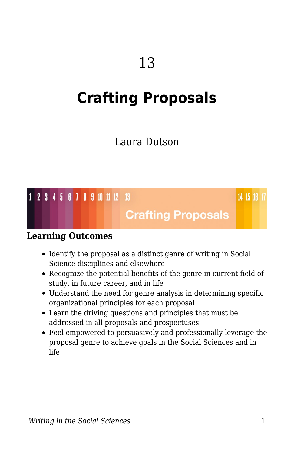# **Crafting Proposals**

### Laura Dutson

#### 1 2 3 4 5 6 7 8 9 10 11 12 13

14 15 16 17

### **Crafting Proposals**

#### **Learning Outcomes**

- Identify the proposal as a distinct genre of writing in Social Science disciplines and elsewhere
- Recognize the potential benefits of the genre in current field of study, in future career, and in life
- Understand the need for genre analysis in determining specific organizational principles for each proposal
- Learn the driving questions and principles that must be addressed in all proposals and prospectuses
- Feel empowered to persuasively and professionally leverage the proposal genre to achieve goals in the Social Sciences and in life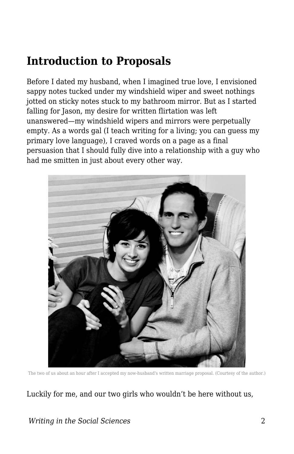## **Introduction to Proposals**

Before I dated my husband, when I imagined true love, I envisioned sappy notes tucked under my windshield wiper and sweet nothings jotted on sticky notes stuck to my bathroom mirror. But as I started falling for Jason, my desire for written flirtation was left unanswered—my windshield wipers and mirrors were perpetually empty. As a words gal (I teach writing for a living; you can guess my primary love language), I craved words on a page as a final persuasion that I should fully dive into a relationship with a guy who had me smitten in just about every other way.



The two of us about an hour after I accepted my now-husband's written marriage proposal. (Courtesy of the author.)

Luckily for me, and our two girls who wouldn't be here without us,

#### *Writing in the Social Sciences* 2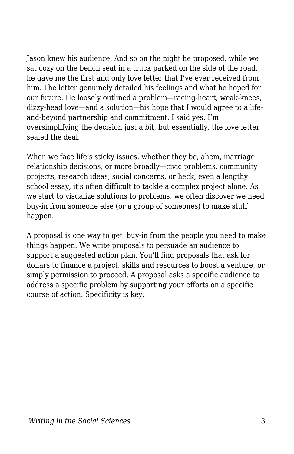Jason knew his audience. And so on the night he proposed, while we sat cozy on the bench seat in a truck parked on the side of the road, he gave me the first and only love letter that I've ever received from him. The letter genuinely detailed his feelings and what he hoped for our future. He loosely outlined a problem—racing-heart, weak-knees, dizzy-head love—and a solution—his hope that I would agree to a lifeand-beyond partnership and commitment. I said yes. I'm oversimplifying the decision just a bit, but essentially, the love letter sealed the deal.

When we face life's sticky issues, whether they be, ahem, marriage relationship decisions, or more broadly—civic problems, community projects, research ideas, social concerns, or heck, even a lengthy school essay, it's often difficult to tackle a complex project alone. As we start to visualize solutions to problems, we often discover we need buy-in from someone else (or a group of someones) to make stuff happen.

A proposal is one way to get buy-in from the people you need to make things happen. We write proposals to persuade an audience to support a suggested action plan. You'll find proposals that ask for dollars to finance a project, skills and resources to boost a venture, or simply permission to proceed. A proposal asks a specific audience to address a specific problem by supporting your efforts on a specific course of action. Specificity is key.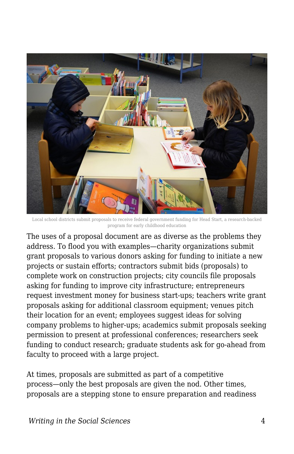

Local school districts submit proposals to receive federal government funding for Head Start, a research-backed program for early childhood education

The uses of a proposal document are as diverse as the problems they address. To flood you with examples—charity organizations submit grant proposals to various donors asking for funding to initiate a new projects or sustain efforts; contractors submit bids (proposals) to complete work on construction projects; city councils file proposals asking for funding to improve city infrastructure; entrepreneurs request investment money for business start-ups; teachers write grant proposals asking for additional classroom equipment; venues pitch their location for an event; employees suggest ideas for solving company problems to higher-ups; academics submit proposals seeking permission to present at professional conferences; researchers seek funding to conduct research; graduate students ask for go-ahead from faculty to proceed with a large project.

At times, proposals are submitted as part of a competitive process—only the best proposals are given the nod. Other times, proposals are a stepping stone to ensure preparation and readiness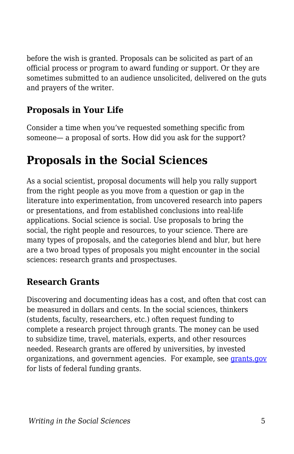before the wish is granted. Proposals can be solicited as part of an official process or program to award funding or support. Or they are sometimes submitted to an audience unsolicited, delivered on the guts and prayers of the writer.

### **Proposals in Your Life**

Consider a time when you've requested something specific from someone— a proposal of sorts. How did you ask for the support?

## **Proposals in the Social Sciences**

As a social scientist, proposal documents will help you rally support from the right people as you move from a question or gap in the literature into experimentation, from uncovered research into papers or presentations, and from established conclusions into real-life applications. Social science is social. Use proposals to bring the social, the right people and resources, to your science. There are many types of proposals, and the categories blend and blur, but here are a two broad types of proposals you might encounter in the social sciences: research grants and prospectuses.

### **Research Grants**

Discovering and documenting ideas has a cost, and often that cost can be measured in dollars and cents. In the social sciences, thinkers (students, faculty, researchers, etc.) often request funding to complete a research project through grants. The money can be used to subsidize time, travel, materials, experts, and other resources needed. Research grants are offered by universities, by invested organizations, and government agencies. For example, see [grants.gov](http://www.grants.gov/) for lists of federal funding grants.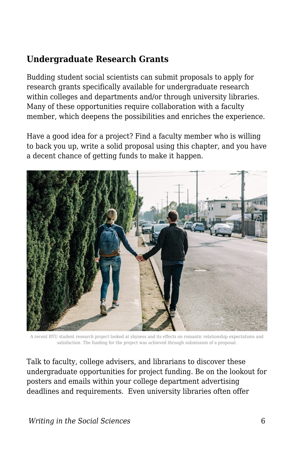#### **Undergraduate Research Grants**

Budding student social scientists can submit proposals to apply for research grants specifically available for undergraduate research within colleges and departments and/or through university libraries. Many of these opportunities require collaboration with a faculty member, which deepens the possibilities and enriches the experience.

Have a good idea for a project? Find a faculty member who is willing to back you up, write a solid proposal using this chapter, and you have a decent chance of getting funds to make it happen.



A recent BYU student research project looked at shyness and its effects on romantic relationship expectations and satisfaction. The funding for the project was achieved through submission of a proposal.

Talk to faculty, college advisers, and librarians to discover these undergraduate opportunities for project funding. Be on the lookout for posters and emails within your college department advertising deadlines and requirements. Even university libraries often offer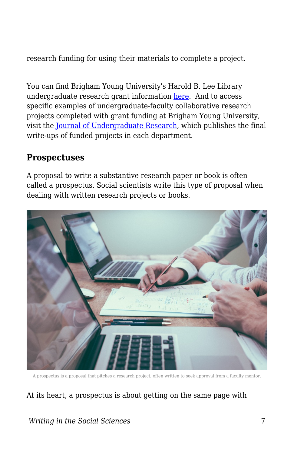research funding for using their materials to complete a project.

You can find Brigham Young University's Harold B. Lee Library undergraduate research grant information [here.](https://lib.byu.edu/services/student-research-grants/) And to access specific examples of undergraduate-faculty collaborative research projects completed with grant funding at Brigham Young University, visit the [Journal of Undergraduate Research,](http://jur.byu.edu/) which publishes the final write-ups of funded projects in each department.

#### **Prospectuses**

A proposal to write a substantive research paper or book is often called a prospectus. Social scientists write this type of proposal when dealing with written research projects or books.



A prospectus is a proposal that pitches a research project, often written to seek approval from a faculty mentor.

#### At its heart, a prospectus is about getting on the same page with

#### *Writing in the Social Sciences* 7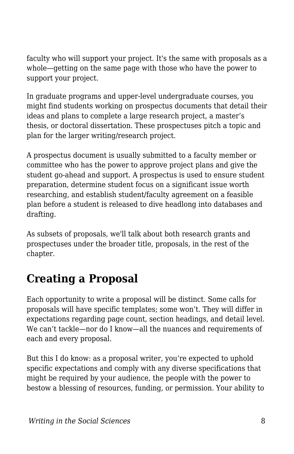faculty who will support your project. It's the same with proposals as a whole—getting on the same page with those who have the power to support your project.

In graduate programs and upper-level undergraduate courses, you might find students working on prospectus documents that detail their ideas and plans to complete a large research project, a master's thesis, or doctoral dissertation. These prospectuses pitch a topic and plan for the larger writing/research project.

A prospectus document is usually submitted to a faculty member or committee who has the power to approve project plans and give the student go-ahead and support. A prospectus is used to ensure student preparation, determine student focus on a significant issue worth researching, and establish student/faculty agreement on a feasible plan before a student is released to dive headlong into databases and drafting.

As subsets of proposals, we'll talk about both research grants and prospectuses under the broader title, proposals, in the rest of the chapter.

## **Creating a Proposal**

Each opportunity to write a proposal will be distinct. Some calls for proposals will have specific templates; some won't. They will differ in expectations regarding page count, section headings, and detail level. We can't tackle—nor do I know—all the nuances and requirements of each and every proposal.

But this I do know: as a proposal writer, you're expected to uphold specific expectations and comply with any diverse specifications that might be required by your audience, the people with the power to bestow a blessing of resources, funding, or permission. Your ability to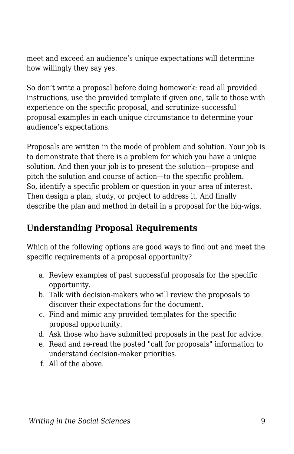meet and exceed an audience's unique expectations will determine how willingly they say yes.

So don't write a proposal before doing homework: read all provided instructions, use the provided template if given one, talk to those with experience on the specific proposal, and scrutinize successful proposal examples in each unique circumstance to determine your audience's expectations.

Proposals are written in the mode of problem and solution. Your job is to demonstrate that there is a problem for which you have a unique solution. And then your job is to present the solution—propose and pitch the solution and course of action—to the specific problem. So, identify a specific problem or question in your area of interest. Then design a plan, study, or project to address it. And finally describe the plan and method in detail in a proposal for the big-wigs.

### **Understanding Proposal Requirements**

Which of the following options are good ways to find out and meet the specific requirements of a proposal opportunity?

- a. Review examples of past successful proposals for the specific opportunity.
- b. Talk with decision-makers who will review the proposals to discover their expectations for the document.
- c. Find and mimic any provided templates for the specific proposal opportunity.
- d. Ask those who have submitted proposals in the past for advice.
- e. Read and re-read the posted "call for proposals" information to understand decision-maker priorities.
- f. All of the above.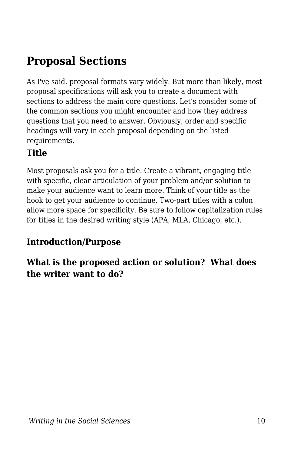## **Proposal Sections**

As I've said, proposal formats vary widely. But more than likely, most proposal specifications will ask you to create a document with sections to address the main core questions. Let's consider some of the common sections you might encounter and how they address questions that you need to answer. Obviously, order and specific headings will vary in each proposal depending on the listed requirements.

### **Title**

Most proposals ask you for a title. Create a vibrant, engaging title with specific, clear articulation of your problem and/or solution to make your audience want to learn more. Think of your title as the hook to get your audience to continue. Two-part titles with a colon allow more space for specificity. Be sure to follow capitalization rules for titles in the desired writing style (APA, MLA, Chicago, etc.).

### **Introduction/Purpose**

**What is the proposed action or solution? What does the writer want to do?**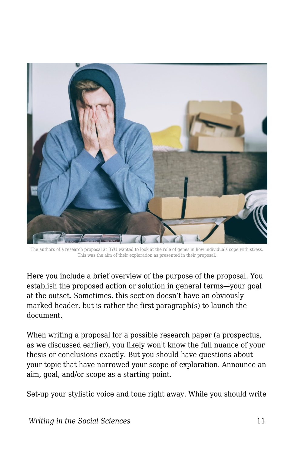

The authors of a research proposal at BYU wanted to look at the role of genes in how individuals cope with stress. This was the aim of their exploration as presented in their proposal.

Here you include a brief overview of the purpose of the proposal. You establish the proposed action or solution in general terms—your goal at the outset. Sometimes, this section doesn't have an obviously marked header, but is rather the first paragraph(s) to launch the document.

When writing a proposal for a possible research paper (a prospectus, as we discussed earlier), you likely won't know the full nuance of your thesis or conclusions exactly. But you should have questions about your topic that have narrowed your scope of exploration. Announce an aim, goal, and/or scope as a starting point.

Set-up your stylistic voice and tone right away. While you should write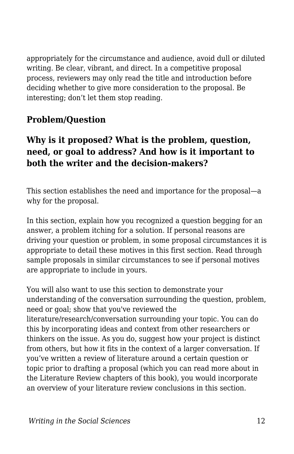appropriately for the circumstance and audience, avoid dull or diluted writing. Be clear, vibrant, and direct. In a competitive proposal process, reviewers may only read the title and introduction before deciding whether to give more consideration to the proposal. Be interesting; don't let them stop reading.

#### **Problem/Question**

#### **Why is it proposed? What is the problem, question, need, or goal to address? And how is it important to both the writer and the decision-makers?**

This section establishes the need and importance for the proposal—a why for the proposal.

In this section, explain how you recognized a question begging for an answer, a problem itching for a solution. If personal reasons are driving your question or problem, in some proposal circumstances it is appropriate to detail these motives in this first section. Read through sample proposals in similar circumstances to see if personal motives are appropriate to include in yours.

You will also want to use this section to demonstrate your understanding of the conversation surrounding the question, problem, need or goal; show that you've reviewed the literature/research/conversation surrounding your topic. You can do this by incorporating ideas and context from other researchers or thinkers on the issue. As you do, suggest how your project is distinct from others, but how it fits in the context of a larger conversation. If you've written a review of literature around a certain question or topic prior to drafting a proposal (which you can read more about in the Literature Review chapters of this book), you would incorporate an overview of your literature review conclusions in this section.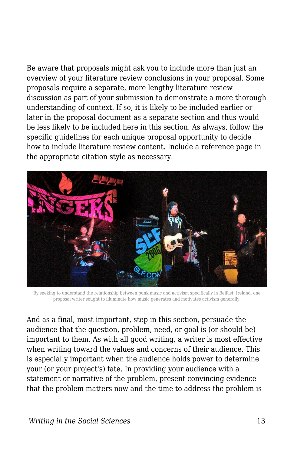Be aware that proposals might ask you to include more than just an overview of your literature review conclusions in your proposal. Some proposals require a separate, more lengthy literature review discussion as part of your submission to demonstrate a more thorough understanding of context. If so, it is likely to be included earlier or later in the proposal document as a separate section and thus would be less likely to be included here in this section. As always, follow the specific guidelines for each unique proposal opportunity to decide how to include literature review content. Include a reference page in the appropriate citation style as necessary.



By seeking to understand the relationship between punk music and activism specifically in Belfast, Ireland, one proposal writer sought to illuminate how music generates and motivates activism generally.

And as a final, most important, step in this section, persuade the audience that the question, problem, need, or goal is (or should be) important to them. As with all good writing, a writer is most effective when writing toward the values and concerns of their audience. This is especially important when the audience holds power to determine your (or your project's) fate. In providing your audience with a statement or narrative of the problem, present convincing evidence that the problem matters now and the time to address the problem is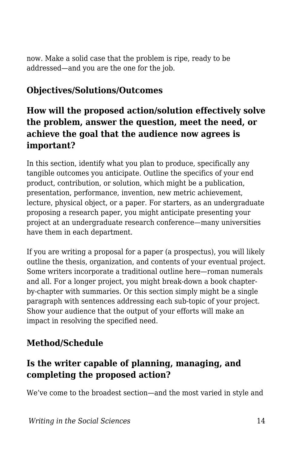now. Make a solid case that the problem is ripe, ready to be addressed—and you are the one for the job.

#### **Objectives/Solutions/Outcomes**

#### **How will the proposed action/solution effectively solve the problem, answer the question, meet the need, or achieve the goal that the audience now agrees is important?**

In this section, identify what you plan to produce, specifically any tangible outcomes you anticipate. Outline the specifics of your end product, contribution, or solution, which might be a publication, presentation, performance, invention, new metric achievement, lecture, physical object, or a paper. For starters, as an undergraduate proposing a research paper, you might anticipate presenting your project at an undergraduate research conference—many universities have them in each department.

If you are writing a proposal for a paper (a prospectus), you will likely outline the thesis, organization, and contents of your eventual project. Some writers incorporate a traditional outline here—roman numerals and all. For a longer project, you might break-down a book chapterby-chapter with summaries. Or this section simply might be a single paragraph with sentences addressing each sub-topic of your project. Show your audience that the output of your efforts will make an impact in resolving the specified need.

#### **Method/Schedule**

#### **Is the writer capable of planning, managing, and completing the proposed action?**

We've come to the broadest section—and the most varied in style and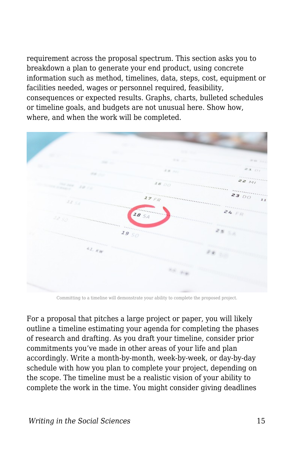requirement across the proposal spectrum. This section asks you to breakdown a plan to generate your end product, using concrete information such as method, timelines, data, steps, cost, equipment or facilities needed, wages or personnel required, feasibility, consequences or expected results. Graphs, charts, bulleted schedules or timeline goals, and budgets are not unusual here. Show how, where, and when the work will be completed.



Committing to a timeline will demonstrate your ability to complete the proposed project.

For a proposal that pitches a large project or paper, you will likely outline a timeline estimating your agenda for completing the phases of research and drafting. As you draft your timeline, consider prior commitments you've made in other areas of your life and plan accordingly. Write a month-by-month, week-by-week, or day-by-day schedule with how you plan to complete your project, depending on the scope. The timeline must be a realistic vision of your ability to complete the work in the time. You might consider giving deadlines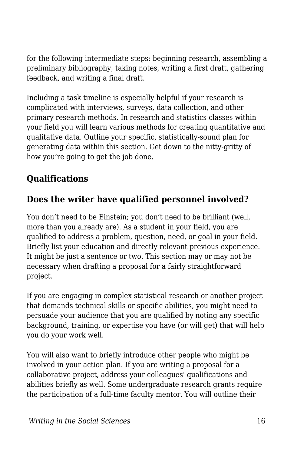for the following intermediate steps: beginning research, assembling a preliminary bibliography, taking notes, writing a first draft, gathering feedback, and writing a final draft.

Including a task timeline is especially helpful if your research is complicated with interviews, surveys, data collection, and other primary research methods. In research and statistics classes within your field you will learn various methods for creating quantitative and qualitative data. Outline your specific, statistically-sound plan for generating data within this section. Get down to the nitty-gritty of how you're going to get the job done.

### **Qualifications**

### **Does the writer have qualified personnel involved?**

You don't need to be Einstein; you don't need to be brilliant (well, more than you already are). As a student in your field, you are qualified to address a problem, question, need, or goal in your field. Briefly list your education and directly relevant previous experience. It might be just a sentence or two. This section may or may not be necessary when drafting a proposal for a fairly straightforward project.

If you are engaging in complex statistical research or another project that demands technical skills or specific abilities, you might need to persuade your audience that you are qualified by noting any specific background, training, or expertise you have (or will get) that will help you do your work well.

You will also want to briefly introduce other people who might be involved in your action plan. If you are writing a proposal for a collaborative project, address your colleagues' qualifications and abilities briefly as well. Some undergraduate research grants require the participation of a full-time faculty mentor. You will outline their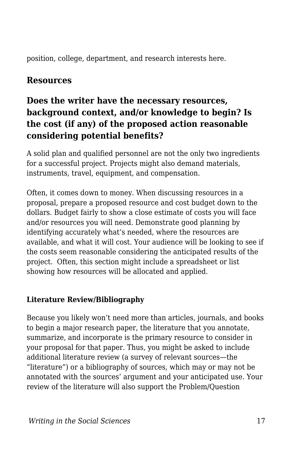position, college, department, and research interests here.

#### **Resources**

### **Does the writer have the necessary resources, background context, and/or knowledge to begin? Is the cost (if any) of the proposed action reasonable considering potential benefits?**

A solid plan and qualified personnel are not the only two ingredients for a successful project. Projects might also demand materials, instruments, travel, equipment, and compensation.

Often, it comes down to money. When discussing resources in a proposal, prepare a proposed resource and cost budget down to the dollars. Budget fairly to show a close estimate of costs you will face and/or resources you will need. Demonstrate good planning by identifying accurately what's needed, where the resources are available, and what it will cost. Your audience will be looking to see if the costs seem reasonable considering the anticipated results of the project. Often, this section might include a spreadsheet or list showing how resources will be allocated and applied.

#### **Literature Review/Bibliography**

Because you likely won't need more than articles, journals, and books to begin a major research paper, the literature that you annotate, summarize, and incorporate is the primary resource to consider in your proposal for that paper. Thus, you might be asked to include additional literature review (a survey of relevant sources—the "literature") or a bibliography of sources, which may or may not be annotated with the sources' argument and your anticipated use. Your review of the literature will also support the Problem/Question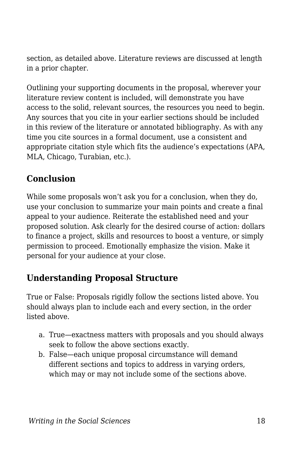section, as detailed above. Literature reviews are discussed at length in a prior chapter.

Outlining your supporting documents in the proposal, wherever your literature review content is included, will demonstrate you have access to the solid, relevant sources, the resources you need to begin. Any sources that you cite in your earlier sections should be included in this review of the literature or annotated bibliography. As with any time you cite sources in a formal document, use a consistent and appropriate citation style which fits the audience's expectations (APA, MLA, Chicago, Turabian, etc.).

### **Conclusion**

While some proposals won't ask you for a conclusion, when they do, use your conclusion to summarize your main points and create a final appeal to your audience. Reiterate the established need and your proposed solution. Ask clearly for the desired course of action: dollars to finance a project, skills and resources to boost a venture, or simply permission to proceed. Emotionally emphasize the vision. Make it personal for your audience at your close.

### **Understanding Proposal Structure**

True or False: Proposals rigidly follow the sections listed above. You should always plan to include each and every section, in the order listed above.

- a. True—exactness matters with proposals and you should always seek to follow the above sections exactly.
- b. False—each unique proposal circumstance will demand different sections and topics to address in varying orders, which may or may not include some of the sections above.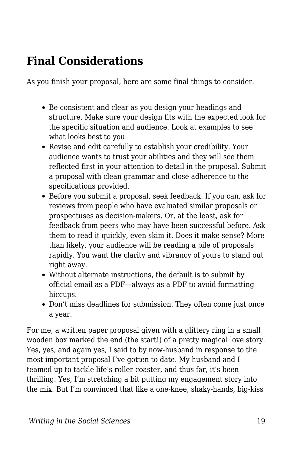## **Final Considerations**

As you finish your proposal, here are some final things to consider.

- Be consistent and clear as you design your headings and structure. Make sure your design fits with the expected look for the specific situation and audience. Look at examples to see what looks best to you.
- Revise and edit carefully to establish your credibility. Your audience wants to trust your abilities and they will see them reflected first in your attention to detail in the proposal. Submit a proposal with clean grammar and close adherence to the specifications provided.
- Before you submit a proposal, seek feedback. If you can, ask for reviews from people who have evaluated similar proposals or prospectuses as decision-makers. Or, at the least, ask for feedback from peers who may have been successful before. Ask them to read it quickly, even skim it. Does it make sense? More than likely, your audience will be reading a pile of proposals rapidly. You want the clarity and vibrancy of yours to stand out right away.
- Without alternate instructions, the default is to submit by official email as a PDF—always as a PDF to avoid formatting hiccups.
- Don't miss deadlines for submission. They often come just once a year.

For me, a written paper proposal given with a glittery ring in a small wooden box marked the end (the start!) of a pretty magical love story. Yes, yes, and again yes, I said to by now-husband in response to the most important proposal I've gotten to date. My husband and I teamed up to tackle life's roller coaster, and thus far, it's been thrilling. Yes, I'm stretching a bit putting my engagement story into the mix. But I'm convinced that like a one-knee, shaky-hands, big-kiss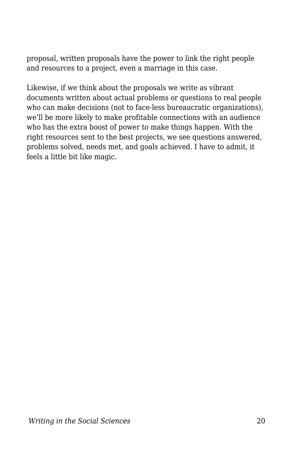proposal, written proposals have the power to link the right people and resources to a project, even a marriage in this case.

Likewise, if we think about the proposals we write as vibrant documents written about actual problems or questions to real people who can make decisions (not to face-less bureaucratic organizations), we'll be more likely to make profitable connections with an audience who has the extra boost of power to make things happen. With the right resources sent to the best projects, we see questions answered, problems solved, needs met, and goals achieved. I have to admit, it feels a little bit like magic.